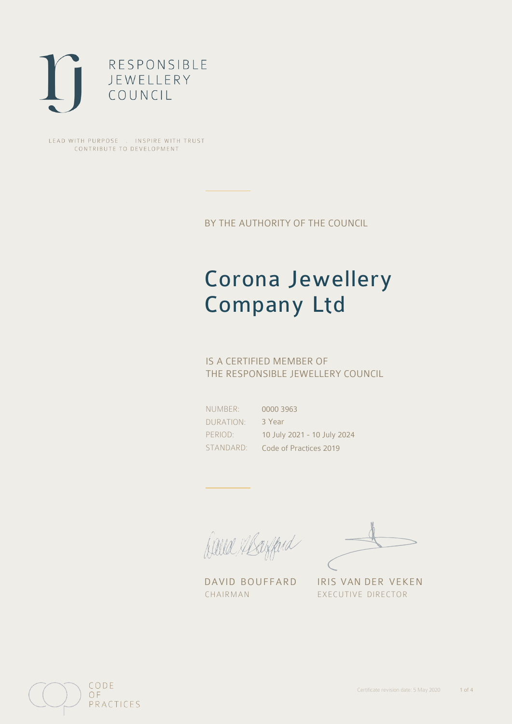

LEAD WITH PURPOSE . INSPIRE WITH TRUST CONTRIBUTE TO DEVELOPMENT

BY THE AUTHORITY OF THE COUNCIL

# Corona Jewellery Company Ltd

## IS A CERTIFIED MEMBER OF THE RESPONSIBLE JEWELLERY COUNCIL

NUMBER: DURATION: PERIOD:

STANDARD: Code of Practices 2019 0000 3963 3 Year 10 July 2021 - 10 July 2024

Balla Shayfard

DAVID BOUFFARD IRIS VAN DER VEKEN CHAIRMAN EXECUTIVE DIRECTOR

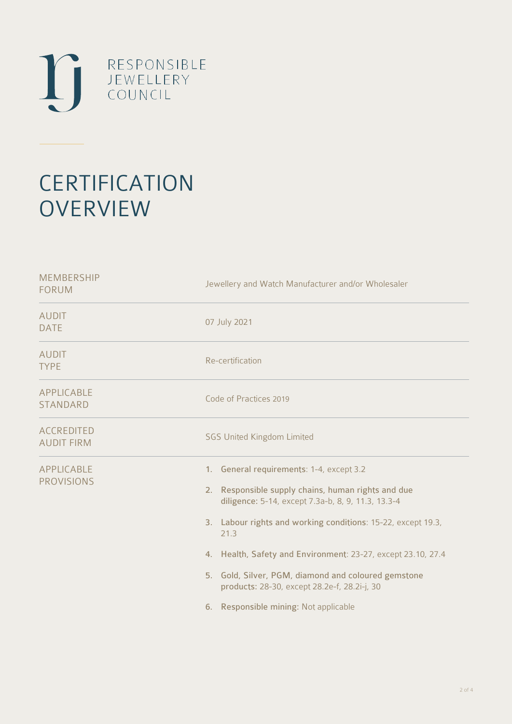

# **CERTIFICATION OVERVIEW**

| Jewellery and Watch Manufacturer and/or Wholesaler                                                                                                                                                                                                                                                                                                                                                                                              |
|-------------------------------------------------------------------------------------------------------------------------------------------------------------------------------------------------------------------------------------------------------------------------------------------------------------------------------------------------------------------------------------------------------------------------------------------------|
| 07 July 2021                                                                                                                                                                                                                                                                                                                                                                                                                                    |
| Re-certification                                                                                                                                                                                                                                                                                                                                                                                                                                |
| Code of Practices 2019                                                                                                                                                                                                                                                                                                                                                                                                                          |
| <b>SGS United Kingdom Limited</b>                                                                                                                                                                                                                                                                                                                                                                                                               |
| 1. General requirements: 1-4, except 3.2<br>Responsible supply chains, human rights and due<br>2.<br>diligence: 5-14, except 7.3a-b, 8, 9, 11.3, 13.3-4<br>3. Labour rights and working conditions: 15-22, except 19.3,<br>21.3<br>4. Health, Safety and Environment: 23-27, except 23.10, 27.4<br>5. Gold, Silver, PGM, diamond and coloured gemstone<br>products: 28-30, except 28.2e-f, 28.2i-j, 30<br>6. Responsible mining: Not applicable |
|                                                                                                                                                                                                                                                                                                                                                                                                                                                 |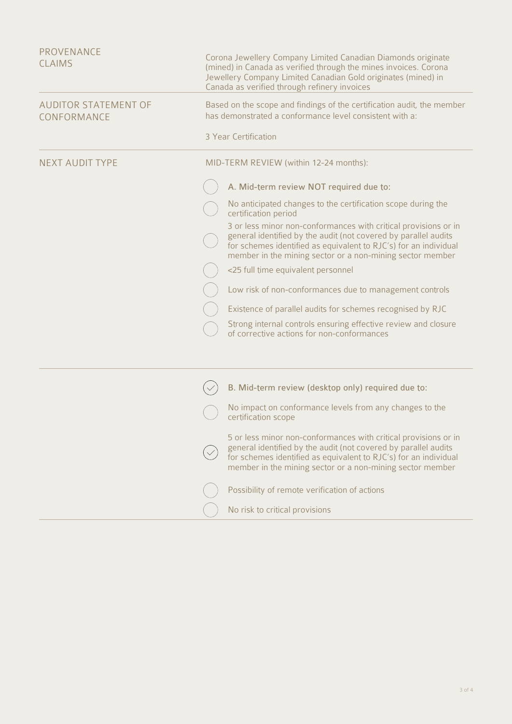| PROVENANCE<br><b>CLAIMS</b>                | Corona Jewellery Company Limited Canadian Diamonds originate<br>(mined) in Canada as verified through the mines invoices. Corona<br>Jewellery Company Limited Canadian Gold originates (mined) in<br>Canada as verified through refinery invoices                                                                                                                                                                                                                                                                                                                                                                                                                                                                               |
|--------------------------------------------|---------------------------------------------------------------------------------------------------------------------------------------------------------------------------------------------------------------------------------------------------------------------------------------------------------------------------------------------------------------------------------------------------------------------------------------------------------------------------------------------------------------------------------------------------------------------------------------------------------------------------------------------------------------------------------------------------------------------------------|
| <b>AUDITOR STATEMENT OF</b><br>CONFORMANCE | Based on the scope and findings of the certification audit, the member<br>has demonstrated a conformance level consistent with a:<br>3 Year Certification                                                                                                                                                                                                                                                                                                                                                                                                                                                                                                                                                                       |
| <b>NEXT AUDIT TYPE</b>                     | MID-TERM REVIEW (within 12-24 months):<br>A. Mid-term review NOT required due to:<br>No anticipated changes to the certification scope during the<br>certification period<br>3 or less minor non-conformances with critical provisions or in<br>general identified by the audit (not covered by parallel audits<br>for schemes identified as equivalent to RJC's) for an individual<br>member in the mining sector or a non-mining sector member<br><25 full time equivalent personnel<br>Low risk of non-conformances due to management controls<br>Existence of parallel audits for schemes recognised by RJC<br>Strong internal controls ensuring effective review and closure<br>of corrective actions for non-conformances |
|                                            | B. Mid-term review (desktop only) required due to:<br>No impact on conformance levels from any changes to the<br>certification scope<br>5 or less minor non-conformances with critical provisions or in<br>general identified by the audit (not covered by parallel audits<br>for schemes identified as equivalent to RJC's) for an individual<br>member in the mining sector or a non-mining sector member<br>Possibility of remote verification of actions<br>No risk to critical provisions                                                                                                                                                                                                                                  |